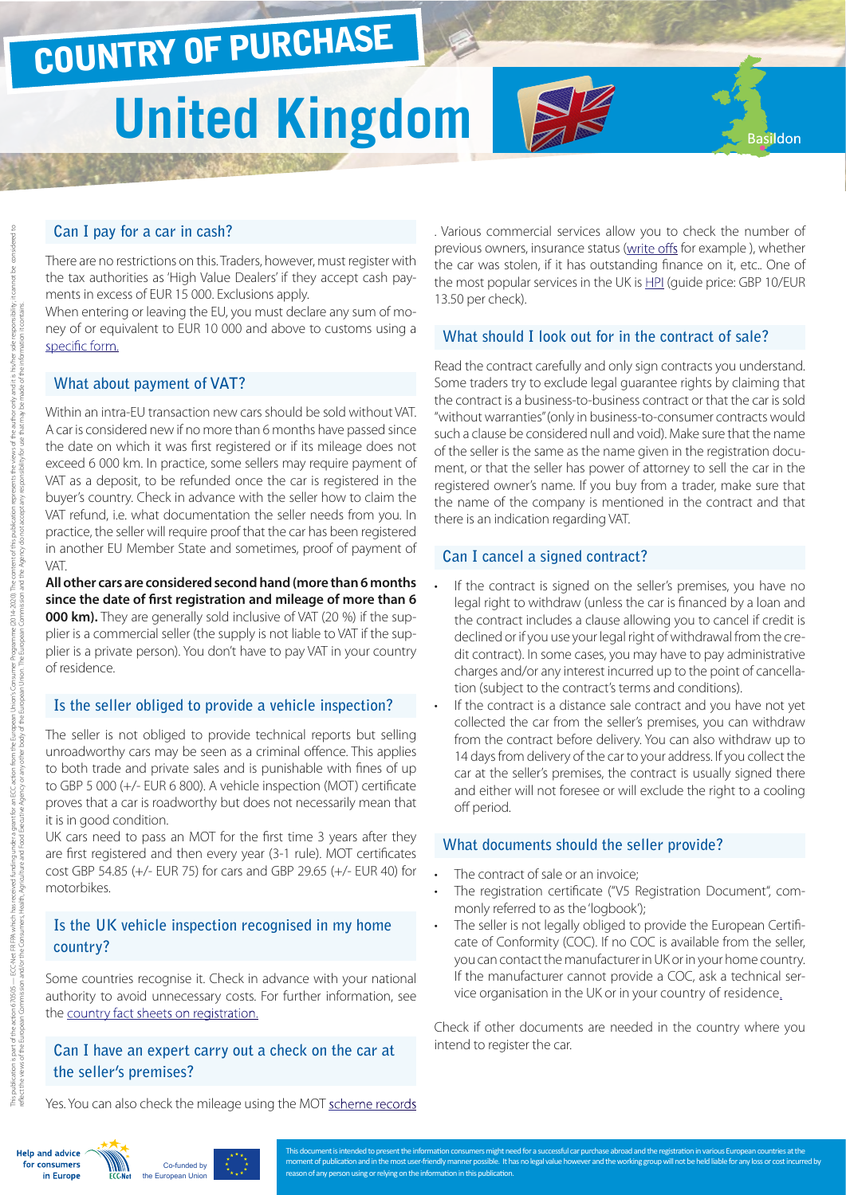# COUNTRY OF PURCHASE

# **United Kingdom**

#### **Can I pay for a car in cash?**

There are no restrictions on this. Traders, however, must register with the tax authorities as 'High Value Dealers' if they accept cash payments in excess of EUR 15 000. Exclusions apply.

When entering or leaving the EU, you must declare any sum of money of or equivalent to EUR 10 000 and above to customs using a [specific form.](https://www.gov.uk/government/publications/import-and-export-cash-declaration-c9011 )

#### **What about payment of VAT?**

Within an intra-EU transaction new cars should be sold without VAT. A car is considered new if no more than 6 months have passed since the date on which it was first registered or if its mileage does not exceed 6 000 km. In practice, some sellers may require payment of VAT as a deposit, to be refunded once the car is registered in the buyer's country. Check in advance with the seller how to claim the VAT refund, i.e. what documentation the seller needs from you. In practice, the seller will require proof that the car has been registered in another EU Member State and sometimes, proof of payment of VAT.

**All other cars are considered second hand (more than 6 months since the date of first registration and mileage of more than 6 000 km).** They are generally sold inclusive of VAT (20 %) if the supplier is a commercial seller (the supply is not liable to VAT if the supplier is a private person). You don't have to pay VAT in your country of residence.

#### **Is the seller obliged to provide a vehicle inspection?**

The seller is not obliged to provide technical reports but selling unroadworthy cars may be seen as a criminal offence. This applies to both trade and private sales and is punishable with fines of up to GBP 5 000 (+/- EUR 6 800). A vehicle inspection (MOT) certificate proves that a car is roadworthy but does not necessarily mean that it is in good condition.

UK cars need to pass an MOT for the first time 3 years after they are first registered and then every year (3-1 rule). MOT certificates cost GBP 54.85 (+/- EUR 75) for cars and GBP 29.65 (+/- EUR 40) for motorbikes.

## **Is the UK vehicle inspection recognised in my home country?**

Some countries recognise it. Check in advance with your national authority to avoid unnecessary costs. For further information, see the [country fact sheets on registration.](http://www.europe-consommateurs.eu/en/consumer-topics/on-the-road/buying-a-car/cross-border-car-purchase-and-registration/)

### **Can I have an expert carry out a check on the car at the seller's premises?**

. Various commercial services allow you to check the number of previous owners, insurance status [\(write offs](http://bit.ly/1ic5dlb) for example ), whether the car was stolen, if it has outstanding finance on it, etc.. One of the most popular services in the UK is [HPI](https://beta.hpicheck.com/?utm_expid=104739630-27.KBqn736ESRS53zC9lgbbaA.1) (guide price: GBP 10/EUR 13.50 per check).

Basildon

#### **What should I look out for in the contract of sale?**

Read the contract carefully and only sign contracts you understand. Some traders try to exclude legal guarantee rights by claiming that the contract is a business-to-business contract or that the car is sold "without warranties" (only in business-to-consumer contracts would such a clause be considered null and void). Make sure that the name of the seller is the same as the name given in the registration document, or that the seller has power of attorney to sell the car in the registered owner's name. If you buy from a trader, make sure that the name of the company is mentioned in the contract and that there is an indication regarding VAT.

#### **Can I cancel a signed contract?**

- If the contract is signed on the seller's premises, you have no legal right to withdraw (unless the car is financed by a loan and the contract includes a clause allowing you to cancel if credit is declined or if you use your legal right of withdrawal from the credit contract). In some cases, you may have to pay administrative charges and/or any interest incurred up to the point of cancellation (subject to the contract's terms and conditions).
- If the contract is a distance sale contract and you have not yet collected the car from the seller's premises, you can withdraw from the contract before delivery. You can also withdraw up to 14 days from delivery of the car to your address. If you collect the car at the seller's premises, the contract is usually signed there and either will not foresee or will exclude the right to a cooling off period.

#### **What documents should the seller provide?**

- The contract of sale or an invoice;
- The registration certificate ("V5 Registration Document", commonly referred to as the 'logbook');
- The seller is not legally obliged to provide the European Certificate of Conformity (COC). If no COC is available from the seller, you can contact the manufacturer in UK or in your home country. If the manufacturer cannot provide a COC, ask a technical service organisation in the UK or in your [country of residence.](http://ec.europa.eu/DocsRoom/documents?tags=technical-service-auto&pageSize=30&sortCol=title&sortOrder=asc)

Check if other documents are needed in the country where you intend to register the car.

Yes. You can also check the mileage using the MOT [scheme records](https://www.gov.uk/check-mot-history-vehicle)



This publication is 670005 — ECC-Net FR FPA which has received funding under a grant for an ECC action from the ELC action from the Digital Diance (2014-2020). The content of this publication represent the vale fits his/he

2014-2020).

reflect the viropean Commission and/or the Consumers, Health, Agriculture and Tood Becutive Agency or the European Union. The European Commission and the Agency do not accept any responsibility for use that may be made of



This document is intended to present the information consumers might need for a successful car purchase abroad and the registration in various European countries at the moment of publication and in the most user-friendly manner possible. It has no legal value however and the working group will not be held liable for any loss or cost incurred by on of any person using or relying on the information in this publication.